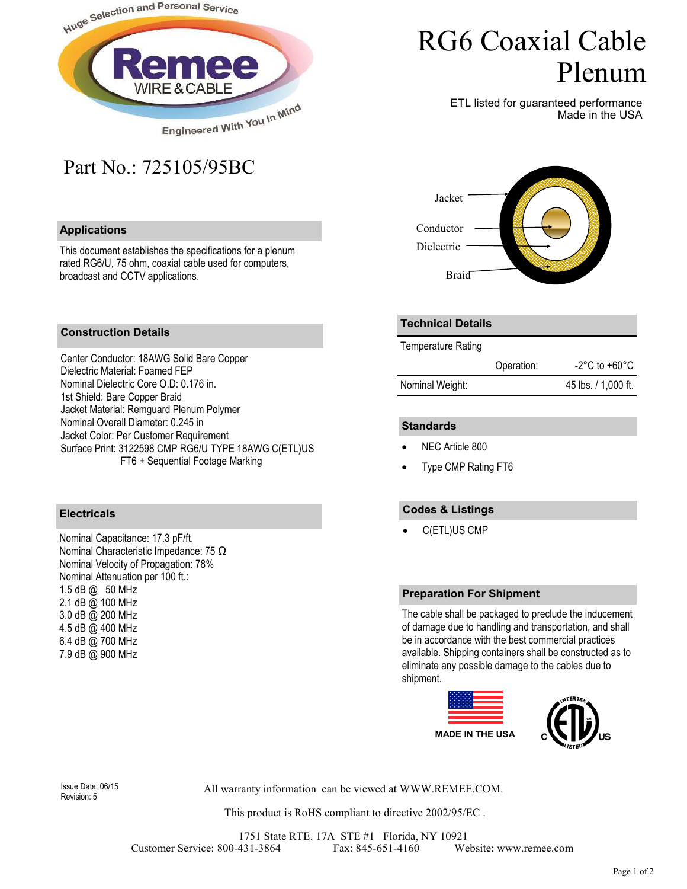

## Part No.: 725105/95BC

#### **Applications**

This document establishes the specifications for a plenum rated RG6/U, 75 ohm, coaxial cable used for computers, broadcast and CCTV applications.

# RG6 Coaxial Cable Plenum

ETL listed for guaranteed performance Made in the USA



#### **Construction Details**

Center Conductor: 18AWG Solid Bare Copper Dielectric Material: Foamed FEP Nominal Dielectric Core O.D: 0.176 in. 1st Shield: Bare Copper Braid Jacket Material: Remguard Plenum Polymer Nominal Overall Diameter: 0.245 in Jacket Color: Per Customer Requirement Surface Print: 3122598 CMP RG6/U TYPE 18AWG C(ETL)US FT6 + Sequential Footage Marking

### **Electricals**

Nominal Capacitance: 17.3 pF/ft. Nominal Characteristic Impedance: 75 Ω Nominal Velocity of Propagation: 78% Nominal Attenuation per 100 ft.: 1.5 dB @ 50 MHz 2.1 dB @ 100 MHz 3.0 dB @ 200 MHz 4.5 dB @ 400 MHz 6.4 dB @ 700 MHz 7.9 dB @ 900 MHz

#### **Technical Details**

Temperature Rating

|                 | Operation: | $-2^{\circ}$ C to $+60^{\circ}$ C |
|-----------------|------------|-----------------------------------|
| Nominal Weight: |            | 45 lbs. / 1,000 ft.               |

#### **Standards**

- NEC Article 800
- Type CMP Rating FT6

### **Codes & Listings**

• C(ETL)US CMP

#### **Preparation For Shipment**

The cable shall be packaged to preclude the inducement of damage due to handling and transportation, and shall be in accordance with the best commercial practices available. Shipping containers shall be constructed as to eliminate any possible damage to the cables due to shipment.





Revision: 5

All warranty information can be viewed at WWW.REMEE.COM. Issue Date: 06/15

This product is RoHS compliant to directive 2002/95/EC .

1751 State RTE. 17A STE #1 Florida, NY 10921 Customer Service: 800-431-3864 Fax: 845-651-4160 Website: www.remee.com